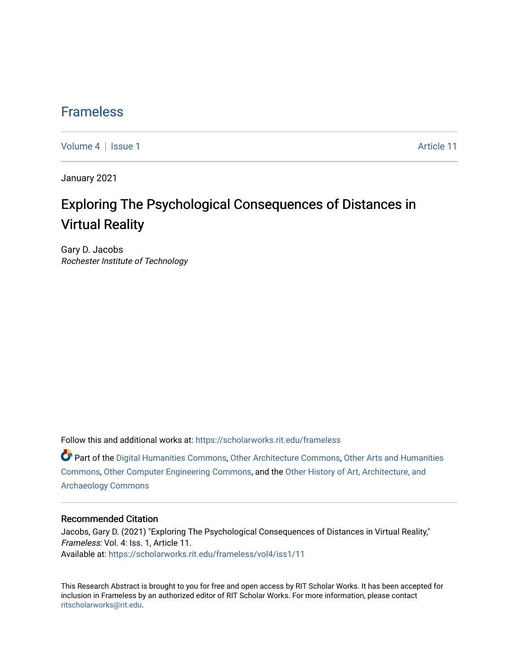### [Frameless](https://scholarworks.rit.edu/frameless)

[Volume 4](https://scholarworks.rit.edu/frameless/vol4) | [Issue 1](https://scholarworks.rit.edu/frameless/vol4/iss1) Article 11

January 2021

## Exploring The Psychological Consequences of Distances in Virtual Reality

Gary D. Jacobs Rochester Institute of Technology

Follow this and additional works at: [https://scholarworks.rit.edu/frameless](https://scholarworks.rit.edu/frameless?utm_source=scholarworks.rit.edu%2Fframeless%2Fvol4%2Fiss1%2F11&utm_medium=PDF&utm_campaign=PDFCoverPages)

Part of the [Digital Humanities Commons](https://network.bepress.com/hgg/discipline/1286?utm_source=scholarworks.rit.edu%2Fframeless%2Fvol4%2Fiss1%2F11&utm_medium=PDF&utm_campaign=PDFCoverPages), [Other Architecture Commons](https://network.bepress.com/hgg/discipline/783?utm_source=scholarworks.rit.edu%2Fframeless%2Fvol4%2Fiss1%2F11&utm_medium=PDF&utm_campaign=PDFCoverPages), [Other Arts and Humanities](https://network.bepress.com/hgg/discipline/577?utm_source=scholarworks.rit.edu%2Fframeless%2Fvol4%2Fiss1%2F11&utm_medium=PDF&utm_campaign=PDFCoverPages)  [Commons](https://network.bepress.com/hgg/discipline/577?utm_source=scholarworks.rit.edu%2Fframeless%2Fvol4%2Fiss1%2F11&utm_medium=PDF&utm_campaign=PDFCoverPages), [Other Computer Engineering Commons,](https://network.bepress.com/hgg/discipline/265?utm_source=scholarworks.rit.edu%2Fframeless%2Fvol4%2Fiss1%2F11&utm_medium=PDF&utm_campaign=PDFCoverPages) and the [Other History of Art, Architecture, and](https://network.bepress.com/hgg/discipline/517?utm_source=scholarworks.rit.edu%2Fframeless%2Fvol4%2Fiss1%2F11&utm_medium=PDF&utm_campaign=PDFCoverPages)  [Archaeology Commons](https://network.bepress.com/hgg/discipline/517?utm_source=scholarworks.rit.edu%2Fframeless%2Fvol4%2Fiss1%2F11&utm_medium=PDF&utm_campaign=PDFCoverPages) 

#### Recommended Citation

Jacobs, Gary D. (2021) "Exploring The Psychological Consequences of Distances in Virtual Reality," Frameless: Vol. 4: Iss. 1, Article 11. Available at: [https://scholarworks.rit.edu/frameless/vol4/iss1/11](https://scholarworks.rit.edu/frameless/vol4/iss1/11?utm_source=scholarworks.rit.edu%2Fframeless%2Fvol4%2Fiss1%2F11&utm_medium=PDF&utm_campaign=PDFCoverPages) 

This Research Abstract is brought to you for free and open access by RIT Scholar Works. It has been accepted for inclusion in Frameless by an authorized editor of RIT Scholar Works. For more information, please contact [ritscholarworks@rit.edu](mailto:ritscholarworks@rit.edu).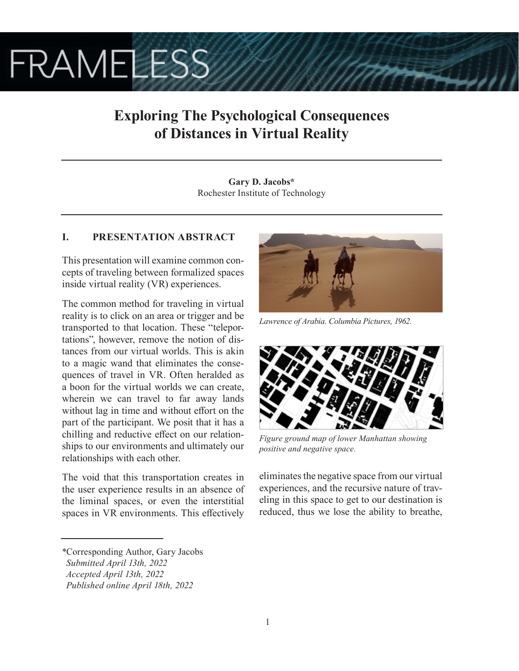# **FRAMELESS**

## **Exploring The Psychological Consequences of Distances in Virtual Reality**

**Gary D. Jacobs\*** Rochester Institute of Technology

### **I. PRESENTATION ABSTRACT**

This presentation will examine common concepts of traveling between formalized spaces inside virtual reality (VR) experiences.

The common method for traveling in virtual reality is to click on an area or trigger and be transported to that location. These "teleportations", however, remove the notion of distances from our virtual worlds. This is akin to a magic wand that eliminates the consequences of travel in VR. Often heralded as a boon for the virtual worlds we can create, wherein we can travel to far away lands without lag in time and without effort on the part of the participant. We posit that it has a chilling and reductive effect on our relationships to our environments and ultimately our relationships with each other.

The void that this transportation creates in the user experience results in an absence of the liminal spaces, or even the interstitial spaces in VR environments. This effectively



*Lawrence of Arabia. Columbia Pictures, 1962.*



*Figure ground map of lower Manhattan showing positive and negative space.*

eliminates the negative space from our virtual experiences, and the recursive nature of traveling in this space to get to our destination is reduced, thus we lose the ability to breathe,

*<sup>\*</sup>*Corresponding Author, Gary Jacobs

*Submitted April 13th, 2022*

*Accepted April 13th, 2022*

*Published online April 18th, 2022*